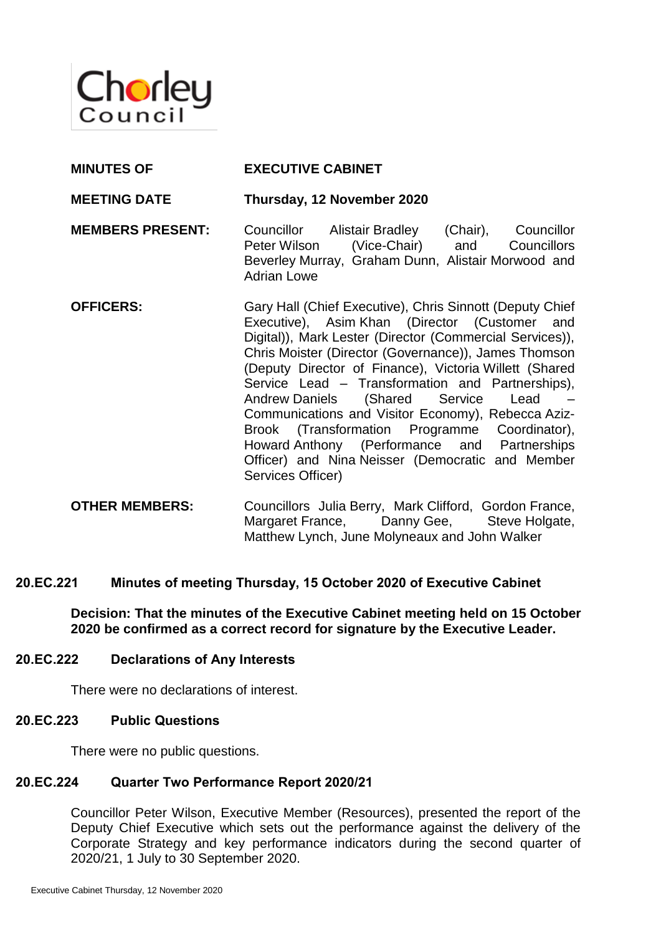

| <b>MINUTES OF</b>       | <b>EXECUTIVE CABINET</b>                                                                                                                                                                                                                                                                |
|-------------------------|-----------------------------------------------------------------------------------------------------------------------------------------------------------------------------------------------------------------------------------------------------------------------------------------|
| <b>MEETING DATE</b>     | Thursday, 12 November 2020                                                                                                                                                                                                                                                              |
| <b>MEMBERS PRESENT:</b> | (Chair),<br>Councillor<br>Councillor Alistair Bradley<br>(Vice-Chair) and<br>Councillors<br>Peter Wilson<br>Beverley Murray, Graham Dunn, Alistair Morwood and<br><b>Adrian Lowe</b>                                                                                                    |
| <b>OFFICERS:</b>        | Gary Hall (Chief Executive), Chris Sinnott (Deputy Chief<br>Executive), Asim Khan (Director (Customer and<br>Digital)), Mark Lester (Director (Commercial Services)),<br>Chris Moister (Director (Governance)), James Thomson<br>(Deputy Director of Finance), Victoria Willett (Shared |

Service Lead – Transformation and Partnerships),

Communications and Visitor Economy), Rebecca Aziz-Brook (Transformation Programme Coordinator), Howard Anthony (Performance and Partnerships Officer) and Nina Neisser (Democratic and Member

Andrew Daniels (Shared Service Lead –

**OTHER MEMBERS:** Councillors Julia Berry, Mark Clifford, Gordon France, Margaret France, Danny Gee, Steve Holgate, Matthew Lynch, June Molyneaux and John Walker

## **20.EC.221 Minutes of meeting Thursday, 15 October 2020 of Executive Cabinet**

Services Officer)

**Decision: That the minutes of the Executive Cabinet meeting held on 15 October 2020 be confirmed as a correct record for signature by the Executive Leader.**

### **20.EC.222 Declarations of Any Interests**

There were no declarations of interest.

#### **20.EC.223 Public Questions**

There were no public questions.

#### **20.EC.224 Quarter Two Performance Report 2020/21**

Councillor Peter Wilson, Executive Member (Resources), presented the report of the Deputy Chief Executive which sets out the performance against the delivery of the Corporate Strategy and key performance indicators during the second quarter of 2020/21, 1 July to 30 September 2020.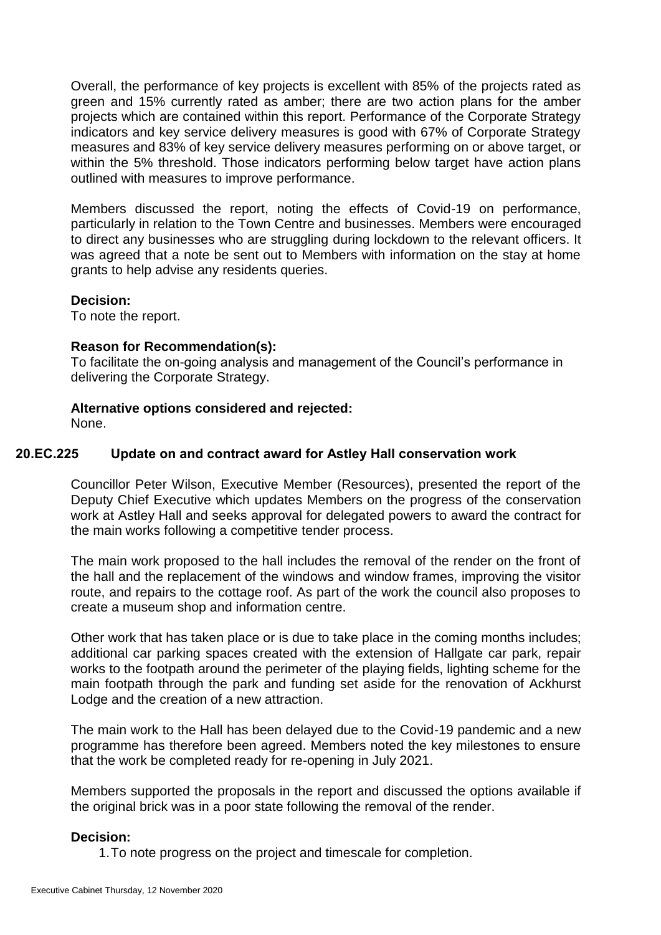Overall, the performance of key projects is excellent with 85% of the projects rated as green and 15% currently rated as amber; there are two action plans for the amber projects which are contained within this report. Performance of the Corporate Strategy indicators and key service delivery measures is good with 67% of Corporate Strategy measures and 83% of key service delivery measures performing on or above target, or within the 5% threshold. Those indicators performing below target have action plans outlined with measures to improve performance.

Members discussed the report, noting the effects of Covid-19 on performance, particularly in relation to the Town Centre and businesses. Members were encouraged to direct any businesses who are struggling during lockdown to the relevant officers. It was agreed that a note be sent out to Members with information on the stay at home grants to help advise any residents queries.

# **Decision:**

To note the report.

# **Reason for Recommendation(s):**

To facilitate the on-going analysis and management of the Council's performance in delivering the Corporate Strategy.

# **Alternative options considered and rejected:**

None.

# **20.EC.225 Update on and contract award for Astley Hall conservation work**

Councillor Peter Wilson, Executive Member (Resources), presented the report of the Deputy Chief Executive which updates Members on the progress of the conservation work at Astley Hall and seeks approval for delegated powers to award the contract for the main works following a competitive tender process.

The main work proposed to the hall includes the removal of the render on the front of the hall and the replacement of the windows and window frames, improving the visitor route, and repairs to the cottage roof. As part of the work the council also proposes to create a museum shop and information centre.

Other work that has taken place or is due to take place in the coming months includes; additional car parking spaces created with the extension of Hallgate car park, repair works to the footpath around the perimeter of the playing fields, lighting scheme for the main footpath through the park and funding set aside for the renovation of Ackhurst Lodge and the creation of a new attraction.

The main work to the Hall has been delayed due to the Covid-19 pandemic and a new programme has therefore been agreed. Members noted the key milestones to ensure that the work be completed ready for re-opening in July 2021.

Members supported the proposals in the report and discussed the options available if the original brick was in a poor state following the removal of the render.

# **Decision:**

1.To note progress on the project and timescale for completion.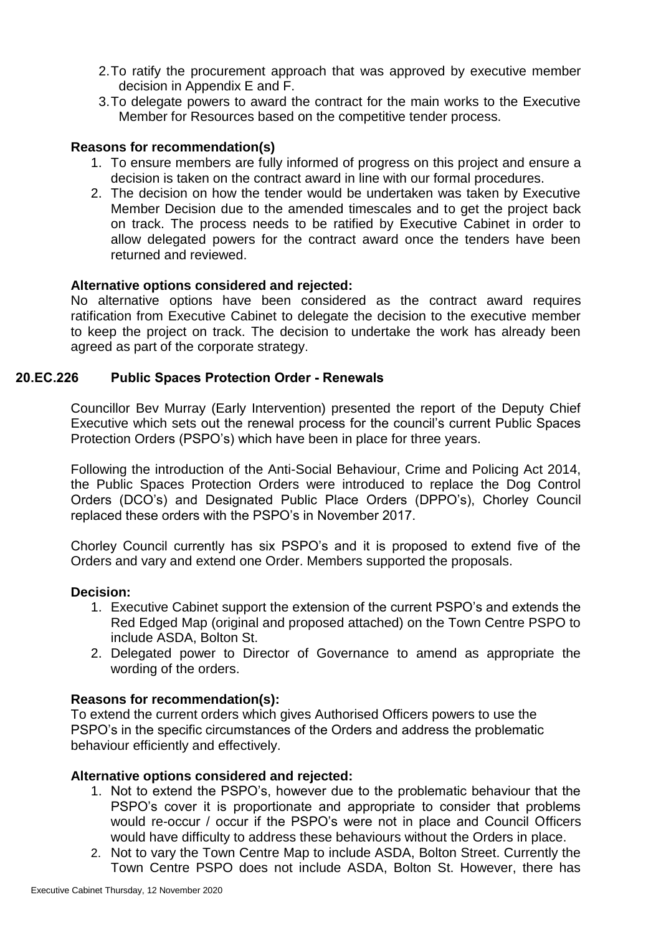- 2.To ratify the procurement approach that was approved by executive member decision in Appendix E and F.
- 3.To delegate powers to award the contract for the main works to the Executive Member for Resources based on the competitive tender process.

# **Reasons for recommendation(s)**

- 1. To ensure members are fully informed of progress on this project and ensure a decision is taken on the contract award in line with our formal procedures.
- 2. The decision on how the tender would be undertaken was taken by Executive Member Decision due to the amended timescales and to get the project back on track. The process needs to be ratified by Executive Cabinet in order to allow delegated powers for the contract award once the tenders have been returned and reviewed.

# **Alternative options considered and rejected:**

No alternative options have been considered as the contract award requires ratification from Executive Cabinet to delegate the decision to the executive member to keep the project on track. The decision to undertake the work has already been agreed as part of the corporate strategy.

# **20.EC.226 Public Spaces Protection Order - Renewals**

Councillor Bev Murray (Early Intervention) presented the report of the Deputy Chief Executive which sets out the renewal process for the council's current Public Spaces Protection Orders (PSPO's) which have been in place for three years.

Following the introduction of the Anti-Social Behaviour, Crime and Policing Act 2014, the Public Spaces Protection Orders were introduced to replace the Dog Control Orders (DCO's) and Designated Public Place Orders (DPPO's), Chorley Council replaced these orders with the PSPO's in November 2017.

Chorley Council currently has six PSPO's and it is proposed to extend five of the Orders and vary and extend one Order. Members supported the proposals.

## **Decision:**

- 1. Executive Cabinet support the extension of the current PSPO's and extends the Red Edged Map (original and proposed attached) on the Town Centre PSPO to include ASDA, Bolton St.
- 2. Delegated power to Director of Governance to amend as appropriate the wording of the orders.

## **Reasons for recommendation(s):**

To extend the current orders which gives Authorised Officers powers to use the PSPO's in the specific circumstances of the Orders and address the problematic behaviour efficiently and effectively.

## **Alternative options considered and rejected:**

- 1. Not to extend the PSPO's, however due to the problematic behaviour that the PSPO's cover it is proportionate and appropriate to consider that problems would re-occur / occur if the PSPO's were not in place and Council Officers would have difficulty to address these behaviours without the Orders in place.
- 2. Not to vary the Town Centre Map to include ASDA, Bolton Street. Currently the Town Centre PSPO does not include ASDA, Bolton St. However, there has